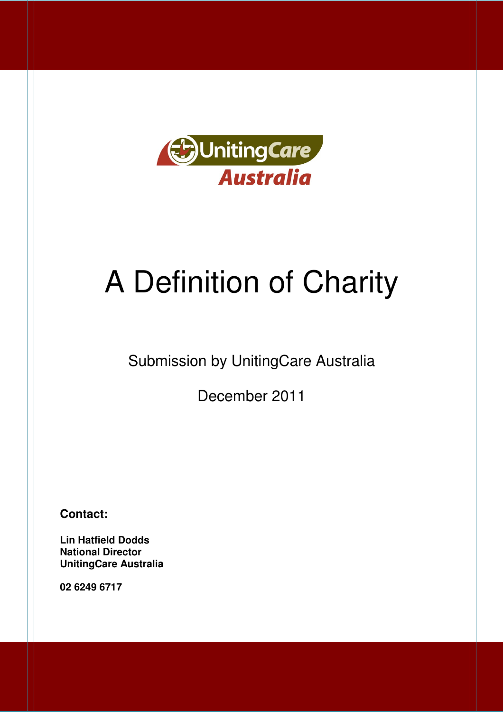

# A Definition of Charity

# Submission by UnitingCare Australia

December 2011

**Contact:** 

 **Lin Hatfield Dodds National Director UnitingCare Australia** 

 **02 6249 6717**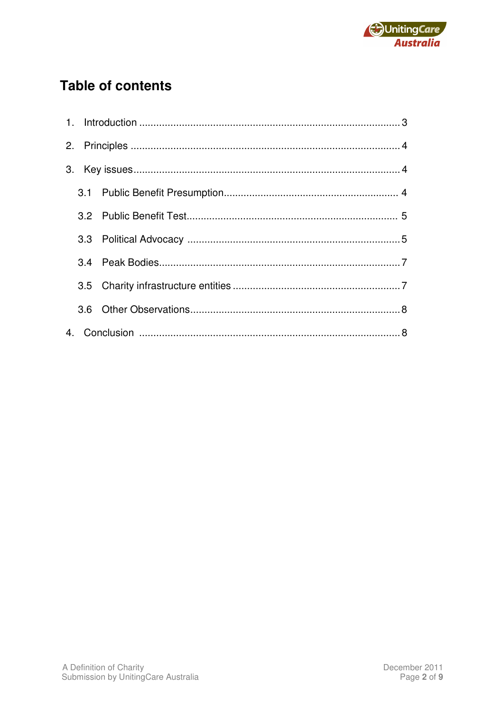

# **Table of contents**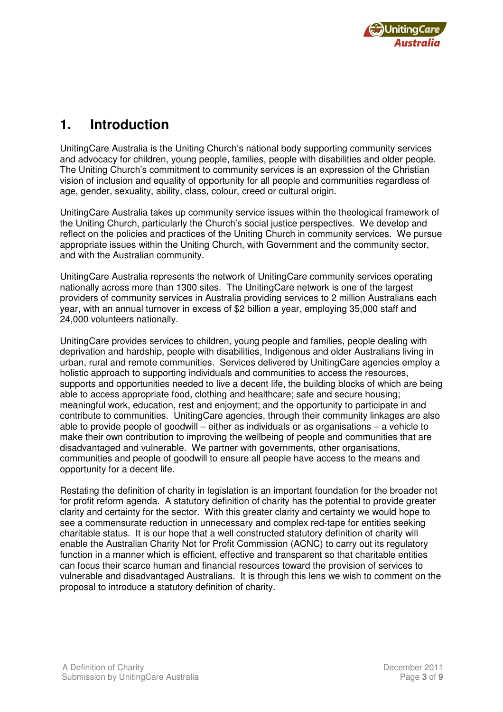

### **1. Introduction**

 UnitingCare Australia is the Uniting Church's national body supporting community services and advocacy for children, young people, families, people with disabilities and older people. The Uniting Church's commitment to community services is an expression of the Christian vision of inclusion and equality of opportunity for all people and communities regardless of age, gender, sexuality, ability, class, colour, creed or cultural origin.

 UnitingCare Australia takes up community service issues within the theological framework of the Uniting Church, particularly the Church's social justice perspectives. We develop and reflect on the policies and practices of the Uniting Church in community services. We pursue appropriate issues within the Uniting Church, with Government and the community sector, and with the Australian community.

 UnitingCare Australia represents the network of UnitingCare community services operating nationally across more than 1300 sites. The UnitingCare network is one of the largest providers of community services in Australia providing services to 2 million Australians each year, with an annual turnover in excess of \$2 billion a year, employing 35,000 staff and 24,000 volunteers nationally.

 UnitingCare provides services to children, young people and families, people dealing with deprivation and hardship, people with disabilities, Indigenous and older Australians living in urban, rural and remote communities. Services delivered by UnitingCare agencies employ a holistic approach to supporting individuals and communities to access the resources, supports and opportunities needed to live a decent life, the building blocks of which are being able to access appropriate food, clothing and healthcare; safe and secure housing; meaningful work, education, rest and enjoyment; and the opportunity to participate in and contribute to communities. UnitingCare agencies, through their community linkages are also able to provide people of goodwill – either as individuals or as organisations – a vehicle to make their own contribution to improving the wellbeing of people and communities that are disadvantaged and vulnerable. We partner with governments, other organisations, communities and people of goodwill to ensure all people have access to the means and opportunity for a decent life.

 Restating the definition of charity in legislation is an important foundation for the broader not for profit reform agenda. A statutory definition of charity has the potential to provide greater clarity and certainty for the sector. With this greater clarity and certainty we would hope to see a commensurate reduction in unnecessary and complex red-tape for entities seeking charitable status. It is our hope that a well constructed statutory definition of charity will enable the Australian Charity Not for Profit Commission (ACNC) to carry out its regulatory function in a manner which is efficient, effective and transparent so that charitable entities can focus their scarce human and financial resources toward the provision of services to vulnerable and disadvantaged Australians. It is through this lens we wish to comment on the proposal to introduce a statutory definition of charity.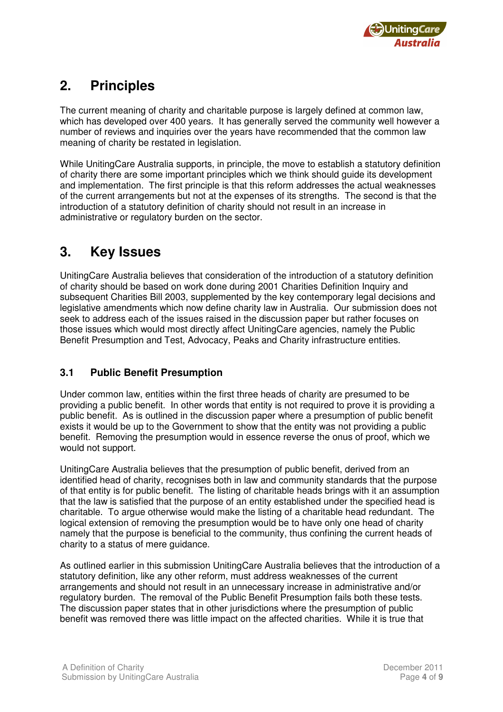

## **2. Principles**

 The current meaning of charity and charitable purpose is largely defined at common law, which has developed over 400 years. It has generally served the community well however a number of reviews and inquiries over the years have recommended that the common law meaning of charity be restated in legislation.

 While UnitingCare Australia supports, in principle, the move to establish a statutory definition of charity there are some important principles which we think should guide its development and implementation. The first principle is that this reform addresses the actual weaknesses of the current arrangements but not at the expenses of its strengths. The second is that the introduction of a statutory definition of charity should not result in an increase in administrative or regulatory burden on the sector.

#### $3.$ **3. Key Issues**

 UnitingCare Australia believes that consideration of the introduction of a statutory definition of charity should be based on work done during 2001 Charities Definition Inquiry and subsequent Charities Bill 2003, supplemented by the key contemporary legal decisions and legislative amendments which now define charity law in Australia. Our submission does not seek to address each of the issues raised in the discussion paper but rather focuses on those issues which would most directly affect UnitingCare agencies, namely the Public Benefit Presumption and Test, Advocacy, Peaks and Charity infrastructure entities.

#### $3.1$ **3.1 Public Benefit Presumption**

 Under common law, entities within the first three heads of charity are presumed to be providing a public benefit. In other words that entity is not required to prove it is providing a public benefit. As is outlined in the discussion paper where a presumption of public benefit exists it would be up to the Government to show that the entity was not providing a public benefit. Removing the presumption would in essence reverse the onus of proof, which we would not support.

 UnitingCare Australia believes that the presumption of public benefit, derived from an identified head of charity, recognises both in law and community standards that the purpose of that entity is for public benefit. The listing of charitable heads brings with it an assumption that the law is satisfied that the purpose of an entity established under the specified head is charitable. To argue otherwise would make the listing of a charitable head redundant. The logical extension of removing the presumption would be to have only one head of charity namely that the purpose is beneficial to the community, thus confining the current heads of charity to a status of mere guidance.

 As outlined earlier in this submission UnitingCare Australia believes that the introduction of a statutory definition, like any other reform, must address weaknesses of the current arrangements and should not result in an unnecessary increase in administrative and/or regulatory burden. The removal of the Public Benefit Presumption fails both these tests. The discussion paper states that in other jurisdictions where the presumption of public benefit was removed there was little impact on the affected charities. While it is true that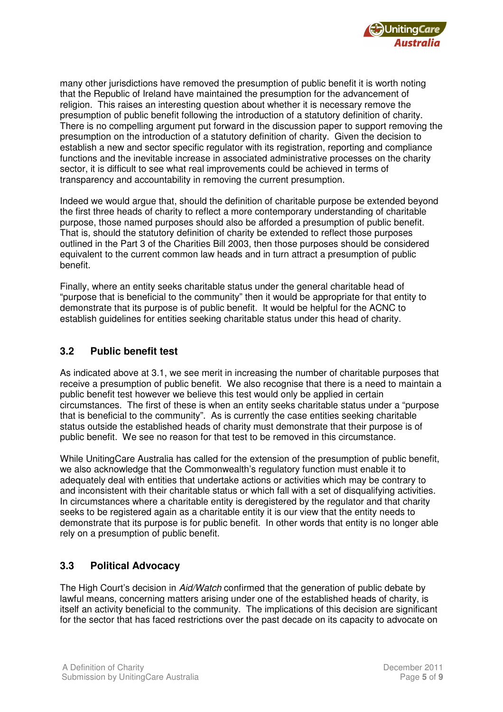

 many other jurisdictions have removed the presumption of public benefit it is worth noting that the Republic of Ireland have maintained the presumption for the advancement of religion. This raises an interesting question about whether it is necessary remove the presumption of public benefit following the introduction of a statutory definition of charity. There is no compelling argument put forward in the discussion paper to support removing the presumption on the introduction of a statutory definition of charity. Given the decision to establish a new and sector specific regulator with its registration, reporting and compliance functions and the inevitable increase in associated administrative processes on the charity sector, it is difficult to see what real improvements could be achieved in terms of transparency and accountability in removing the current presumption.

 Indeed we would argue that, should the definition of charitable purpose be extended beyond the first three heads of charity to reflect a more contemporary understanding of charitable purpose, those named purposes should also be afforded a presumption of public benefit. That is, should the statutory definition of charity be extended to reflect those purposes outlined in the Part 3 of the Charities Bill 2003, then those purposes should be considered equivalent to the current common law heads and in turn attract a presumption of public henefit

benefit.<br>Finally, where an entity seeks charitable status under the general charitable head of "purpose that is beneficial to the community" then it would be appropriate for that entity to demonstrate that its purpose is of public benefit. It would be helpful for the ACNC to establish guidelines for entities seeking charitable status under this head of charity.

#### $3.2$ **3.2 Public benefit test**

 As indicated above at 3.1, we see merit in increasing the number of charitable purposes that receive a presumption of public benefit. We also recognise that there is a need to maintain a public benefit test however we believe this test would only be applied in certain circumstances. The first of these is when an entity seeks charitable status under a "purpose that is beneficial to the community". As is currently the case entities seeking charitable status outside the established heads of charity must demonstrate that their purpose is of public benefit. We see no reason for that test to be removed in this circumstance.

 While UnitingCare Australia has called for the extension of the presumption of public benefit, we also acknowledge that the Commonwealth's regulatory function must enable it to adequately deal with entities that undertake actions or activities which may be contrary to and inconsistent with their charitable status or which fall with a set of disqualifying activities. In circumstances where a charitable entity is deregistered by the regulator and that charity seeks to be registered again as a charitable entity it is our view that the entity needs to demonstrate that its purpose is for public benefit. In other words that entity is no longer able rely on a presumption of public benefit.

### **3.3 Political Advocacy**

The High Court's decision in Aid/Watch confirmed that the generation of public debate by lawful means, concerning matters arising under one of the established heads of charity, is itself an activity beneficial to the community. The implications of this decision are significant for the sector that has faced restrictions over the past decade on its capacity to advocate on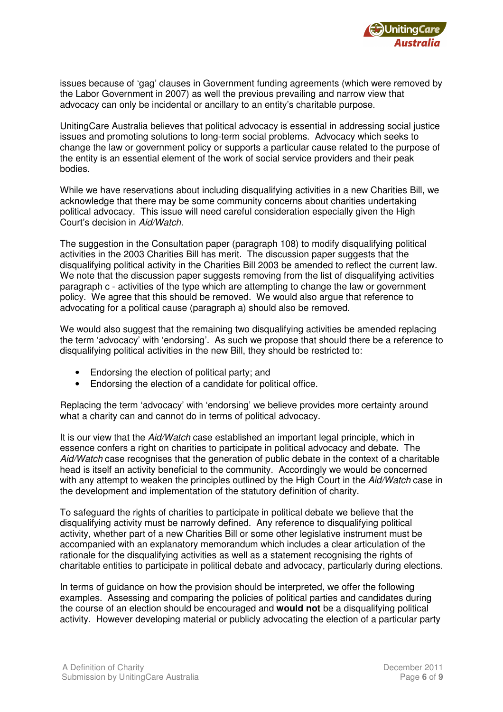

 issues because of 'gag' clauses in Government funding agreements (which were removed by the Labor Government in 2007) as well the previous prevailing and narrow view that advocacy can only be incidental or ancillary to an entity's charitable purpose.

 UnitingCare Australia believes that political advocacy is essential in addressing social justice issues and promoting solutions to long-term social problems. Advocacy which seeks to change the law or government policy or supports a particular cause related to the purpose of the entity is an essential element of the work of social service providers and their peak hodies

bodies.<br>While we have reservations about including disqualifying activities in a new Charities Bill, we acknowledge that there may be some community concerns about charities undertaking political advocacy. This issue will need careful consideration especially given the High .<br>Court's decision in Aid/Watch.

 The suggestion in the Consultation paper (paragraph 108) to modify disqualifying political activities in the 2003 Charities Bill has merit. The discussion paper suggests that the disqualifying political activity in the Charities Bill 2003 be amended to reflect the current law. We note that the discussion paper suggests removing from the list of disqualifying activities paragraph c - activities of the type which are attempting to change the law or government policy. We agree that this should be removed. We would also argue that reference to advocating for a political cause (paragraph a) should also be removed.

 We would also suggest that the remaining two disqualifying activities be amended replacing the term 'advocacy' with 'endorsing'. As such we propose that should there be a reference to disqualifying political activities in the new Bill, they should be restricted to:

- Endorsing the election of political party; and
- Endorsing the election of a candidate for political office.

 Replacing the term 'advocacy' with 'endorsing' we believe provides more certainty around what a charity can and cannot do in terms of political advocacy.

It is our view that the Aid/Watch case established an important legal principle, which in essence confers a right on charities to participate in political advocacy and debate. The Aid/Watch case recognises that the generation of public debate in the context of a charitable head is itself an activity beneficial to the community. Accordingly we would be concerned with any attempt to weaken the principles outlined by the High Court in the Aid/Watch case in the development and implementation of the statutory definition of charity.

 To safeguard the rights of charities to participate in political debate we believe that the disqualifying activity must be narrowly defined. Any reference to disqualifying political activity, whether part of a new Charities Bill or some other legislative instrument must be accompanied with an explanatory memorandum which includes a clear articulation of the rationale for the disqualifying activities as well as a statement recognising the rights of charitable entities to participate in political debate and advocacy, particularly during elections.

 In terms of guidance on how the provision should be interpreted, we offer the following examples. Assessing and comparing the policies of political parties and candidates during the course of an election should be encouraged and **would not** be a disqualifying political activity. However developing material or publicly advocating the election of a particular party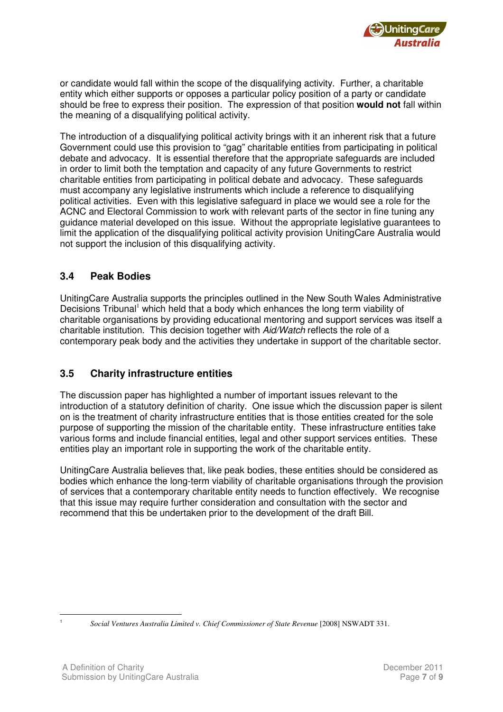

 or candidate would fall within the scope of the disqualifying activity. Further, a charitable entity which either supports or opposes a particular policy position of a party or candidate should be free to express their position. The expression of that position **would not** fall within the meaning of a disqualifying political activity.

 The introduction of a disqualifying political activity brings with it an inherent risk that a future Government could use this provision to "gag" charitable entities from participating in political debate and advocacy. It is essential therefore that the appropriate safeguards are included in order to limit both the temptation and capacity of any future Governments to restrict charitable entities from participating in political debate and advocacy. These safeguards must accompany any legislative instruments which include a reference to disqualifying political activities. Even with this legislative safeguard in place we would see a role for the ACNC and Electoral Commission to work with relevant parts of the sector in fine tuning any guidance material developed on this issue. Without the appropriate legislative guarantees to limit the application of the disqualifying political activity provision UnitingCare Australia would not support the inclusion of this disqualifying activity.

#### $3.4$ **3.4 Peak Bodies**

 UnitingCare Australia supports the principles outlined in the New South Wales Administrative Decisions Tribunal<sup>1</sup> which held that a body which enhances the long term viability of charitable organisations by providing educational mentoring and support services was itself a charitable institution. This decision together with Aid/Watch reflects the role of a contemporary peak body and the activities they undertake in support of the charitable sector.

#### **3.5 Charity infrastructure entities**

 The discussion paper has highlighted a number of important issues relevant to the introduction of a statutory definition of charity. One issue which the discussion paper is silent on is the treatment of charity infrastructure entities that is those entities created for the sole purpose of supporting the mission of the charitable entity. These infrastructure entities take various forms and include financial entities, legal and other support services entities. These entities play an important role in supporting the work of the charitable entity.

 UnitingCare Australia believes that, like peak bodies, these entities should be considered as bodies which enhance the long-term viability of charitable organisations through the provision of services that a contemporary charitable entity needs to function effectively. We recognise that this issue may require further consideration and consultation with the sector and recommend that this be undertaken prior to the development of the draft Bill.

 $\overline{a}$ 1

*Social Ventures Australia Limited v. Chief Commissioner of State Revenue* [2008] NSWADT 331.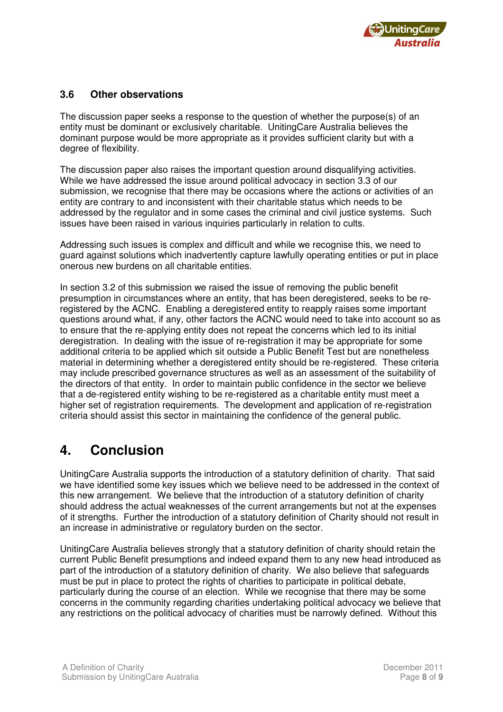

#### $3.6$ **3.6 Other observations**

 The discussion paper seeks a response to the question of whether the purpose(s) of an entity must be dominant or exclusively charitable. UnitingCare Australia believes the dominant purpose would be more appropriate as it provides sufficient clarity but with a degree of flexibility.

 The discussion paper also raises the important question around disqualifying activities. While we have addressed the issue around political advocacy in section 3.3 of our submission, we recognise that there may be occasions where the actions or activities of an entity are contrary to and inconsistent with their charitable status which needs to be addressed by the regulator and in some cases the criminal and civil justice systems. Such issues have been raised in various inquiries particularly in relation to cults.

 Addressing such issues is complex and difficult and while we recognise this, we need to guard against solutions which inadvertently capture lawfully operating entities or put in place onerous new burdens on all charitable entities.

 In section 3.2 of this submission we raised the issue of removing the public benefit presumption in circumstances where an entity, that has been deregistered, seeks to be re- registered by the ACNC. Enabling a deregistered entity to reapply raises some important questions around what, if any, other factors the ACNC would need to take into account so as to ensure that the re-applying entity does not repeat the concerns which led to its initial deregistration. In dealing with the issue of re-registration it may be appropriate for some additional criteria to be applied which sit outside a Public Benefit Test but are nonetheless material in determining whether a deregistered entity should be re-registered. These criteria may include prescribed governance structures as well as an assessment of the suitability of the directors of that entity. In order to maintain public confidence in the sector we believe that a de-registered entity wishing to be re-registered as a charitable entity must meet a higher set of registration requirements. The development and application of re-registration criteria should assist this sector in maintaining the confidence of the general public.

### **4. Conclusion**

 UnitingCare Australia supports the introduction of a statutory definition of charity. That said we have identified some key issues which we believe need to be addressed in the context of this new arrangement. We believe that the introduction of a statutory definition of charity should address the actual weaknesses of the current arrangements but not at the expenses of it strengths. Further the introduction of a statutory definition of Charity should not result in an increase in administrative or regulatory burden on the sector.

 UnitingCare Australia believes strongly that a statutory definition of charity should retain the current Public Benefit presumptions and indeed expand them to any new head introduced as part of the introduction of a statutory definition of charity. We also believe that safeguards must be put in place to protect the rights of charities to participate in political debate, particularly during the course of an election. While we recognise that there may be some concerns in the community regarding charities undertaking political advocacy we believe that any restrictions on the political advocacy of charities must be narrowly defined. Without this